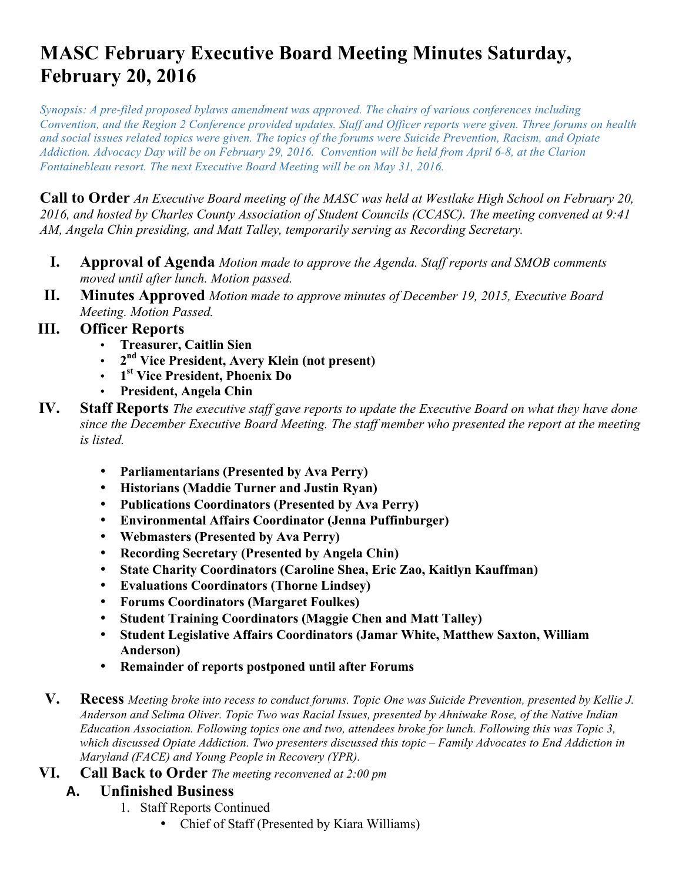# **MASC February Executive Board Meeting Minutes Saturday, February 20, 2016**

*Synopsis: A pre-filed proposed bylaws amendment was approved. The chairs of various conferences including Convention, and the Region 2 Conference provided updates. Staff and Officer reports were given. Three forums on health and social issues related topics were given. The topics of the forums were Suicide Prevention, Racism, and Opiate Addiction. Advocacy Day will be on February 29, 2016. Convention will be held from April 6-8, at the Clarion Fontainebleau resort. The next Executive Board Meeting will be on May 31, 2016.* 

**Call to Order** *An Executive Board meeting of the MASC was held at Westlake High School on February 20, 2016, and hosted by Charles County Association of Student Councils (CCASC). The meeting convened at 9:41 AM, Angela Chin presiding, and Matt Talley, temporarily serving as Recording Secretary.*

- **I. Approval of Agenda** *Motion made to approve the Agenda. Staff reports and SMOB comments moved until after lunch. Motion passed.*
- **II. Minutes Approved** *Motion made to approve minutes of December 19, 2015, Executive Board Meeting. Motion Passed.*
- **III. Officer Reports**
	- **Treasurer, Caitlin Sien**
	- **2nd Vice President, Avery Klein (not present)**
	- **1st Vice President, Phoenix Do**
	- **President, Angela Chin**
- **IV. Staff Reports** *The executive staff gave reports to update the Executive Board on what they have done since the December Executive Board Meeting. The staff member who presented the report at the meeting is listed.* 
	- **Parliamentarians (Presented by Ava Perry)**
	- **Historians (Maddie Turner and Justin Ryan)**
	- **Publications Coordinators (Presented by Ava Perry)**
	- **Environmental Affairs Coordinator (Jenna Puffinburger)**
	- **Webmasters (Presented by Ava Perry)**
	- **Recording Secretary (Presented by Angela Chin)**
	- **State Charity Coordinators (Caroline Shea, Eric Zao, Kaitlyn Kauffman)**
	- **Evaluations Coordinators (Thorne Lindsey)**
	- **Forums Coordinators (Margaret Foulkes)**
	- **Student Training Coordinators (Maggie Chen and Matt Talley)**
	- **Student Legislative Affairs Coordinators (Jamar White, Matthew Saxton, William Anderson)**
	- **Remainder of reports postponed until after Forums**
- **V. Recess** *Meeting broke into recess to conduct forums. Topic One was Suicide Prevention, presented by Kellie J. Anderson and Selima Oliver. Topic Two was Racial Issues, presented by Ahniwake Rose, of the Native Indian Education Association. Following topics one and two, attendees broke for lunch. Following this was Topic 3, which discussed Opiate Addiction. Two presenters discussed this topic – Family Advocates to End Addiction in Maryland (FACE) and Young People in Recovery (YPR).*
- **VI. Call Back to Order** *The meeting reconvened at 2:00 pm*
	- **A. Unfinished Business** 
		- 1. Staff Reports Continued
			- Chief of Staff (Presented by Kiara Williams)